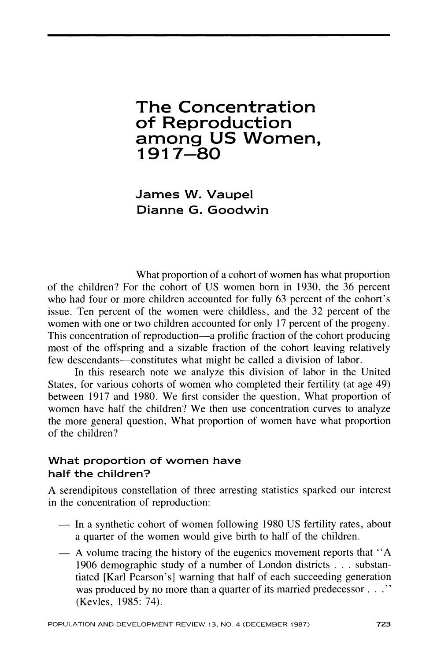# **The Concentration of Reproduction among US Women, 1917-80**

**James W. Vaupel Dianne G. Goodwin** 

**What proportion of a cohort of women has what proportion of the children? For the cohort of US women born in 1930, the 36 percent who had four or more children accounted for fully 63 percent of the cohort's issue. Ten percent of the women were childless, and the 32 percent of the women with one or two children accounted for only 17 percent of the progeny. This concentration of reproduction-a prolific fraction of the cohort producing most of the offspring and a sizable fraction of the cohort leaving relatively few descendants-constitutes what might be called a division of labor.** 

**In this research note we analyze this division of labor in the United States, for various cohorts of women who completed their fertility (at age 49) between 1917 and 1980. We first consider the question, What proportion of women have half the children? We then use concentration curves to analyze the more general question, What proportion of women have what proportion of the children?** 

# **What proportion of women have half the children?**

**A serendipitous constellation of three arresting statistics sparked our interest in the concentration of reproduction:** 

- **-In a synthetic cohort of women following 1980 US fertility rates, about a quarter of the women would give birth to half of the children.**
- **A volume tracing the history of the eugenics movement reports that "A 1906 demographic study of a number of London districts . . . substantiated [Karl Pearson's] warning that half of each succeeding generation was produced by no more than a quarter of its married predecessor . (Kevles, 1985: 74).**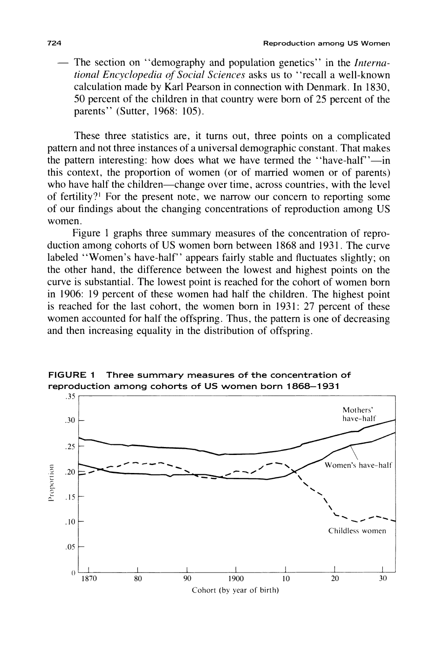The section on "demography and population genetics" in the *Interna***tional Encyclopedia of Social Sciences asks us to "recall a well-known calculation made by Karl Pearson in connection with Denmark. In 1830, 50 percent of the children in that country were born of 25 percent of the parents" (Sutter, 1968: 105).** 

**These three statistics are, it turns out, three points on a complicated pattern and not three instances of a universal demographic constant. That makes**  the pattern interesting: how does what we have termed the "have-half"-in **this context, the proportion of women (or of married women or of parents)**  who have half the children—change over time, across countries, with the level **of fertility?' For the present note, we narrow our concern to reporting some of our findings about the changing concentrations of reproduction among US women.** 

**Figure 1 graphs three summary measures of the concentration of reproduction among cohorts of US women born between 1868 and 1931. The curve labeled "Women's have-half" appears fairly stable and fluctuates slightly; on the other hand, the difference between the lowest and highest points on the curve is substantial. The lowest point is reached for the cohort of women born in 1906: 19 percent of these women had half the children. The highest point is reached for the last cohort, the women born in 1931: 27 percent of these women accounted for half the offspring. Thus, the pattern is one of decreasing and then increasing equality in the distribution of offspring.** 



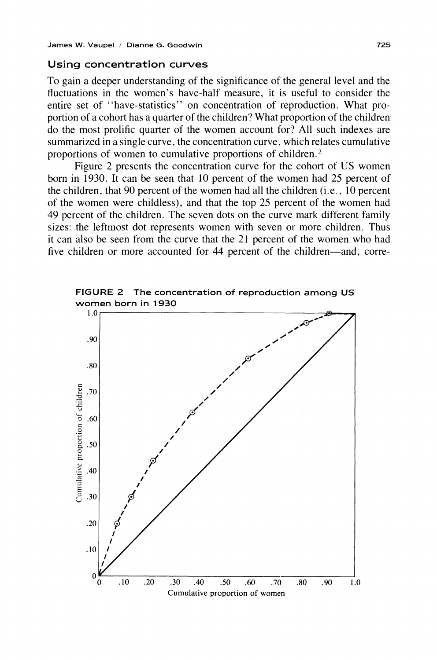#### **Using concentration curves**

**To gain a deeper understanding of the significance of the general level and the fluctuations in the women's have-half measure, it is useful to consider the entire set of "have-statistics" on concentration of reproduction. What proportion of a cohort has a quarter of the children? What proportion of the children do the most prolific quarter of the women account for? All such indexes are summarized in a single curve, the concentration curve, which relates cumulative proportions of women to cumulative proportions of children.2** 

**Figure 2 presents the concentration curve for the cohort of US women born in 1930. It can be seen that 10 percent of the women had 25 percent of the children, that 90 percent of the women had all the children (i.e., 10 percent of the women were childless), and that the top 25 percent of the women had 49 percent of the children. The seven dots on the curve mark different family sizes: the leftmost dot represents women with seven or more children. Thus it can also be seen from the curve that the 21 percent of the women who had**  five children or more accounted for 44 percent of the children—and, corre-



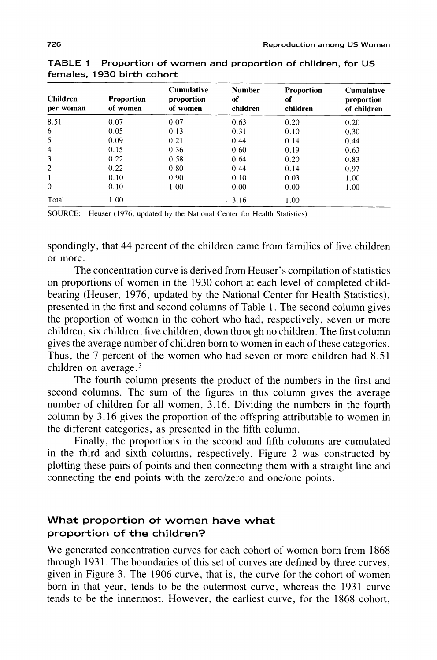| <b>Children</b><br>per woman | <b>Proportion</b><br>of women | <b>Cumulative</b><br>proportion<br>of women | <b>Number</b><br>of<br>children | <b>Proportion</b><br>of<br>children | <b>Cumulative</b><br>proportion<br>of children |
|------------------------------|-------------------------------|---------------------------------------------|---------------------------------|-------------------------------------|------------------------------------------------|
| 8.51                         | 0.07                          | 0.07                                        | 0.63                            | 0.20                                | 0.20                                           |
| 6                            | 0.05                          | 0.13                                        | 0.31                            | 0.10                                | 0.30                                           |
| 5                            | 0.09                          | 0.21                                        | 0.44                            | 0.14                                | 0.44                                           |
| $\overline{4}$               | 0.15                          | 0.36                                        | 0.60                            | 0.19                                | 0.63                                           |
| 3                            | 0.22                          | 0.58                                        | 0.64                            | 0.20                                | 0.83                                           |
| 2                            | 0.22                          | 0.80                                        | 0.44                            | 0.14                                | 0.97                                           |
| 1                            | 0.10                          | 0.90                                        | 0.10                            | 0.03                                | 1.00                                           |
| $\theta$                     | 0.10                          | 1.00                                        | 0.00                            | 0.00                                | 1.00                                           |
| Total                        | 1.00                          |                                             | 3.16                            | 1.00                                |                                                |

**TABLE 1 Proportion of women and proportion of children, for US females, 1930 birth cohort** 

**SOURCE: Heuser (1976; updated by the National Center for Health Statistics).** 

**spondingly, that 44 percent of the children came from families of five children or more.** 

**The concentration curve is derived from Heuser's compilation of statistics on proportions of women in the 1930 cohort at each level of completed childbearing (Heuser, 1976, updated by the National Center for Health Statistics), presented in the first and second columns of Table 1. The second column gives the proportion of women in the cohort who had, respectively, seven or more children, six children, five children, down through no children. The first column gives the average number of children born to women in each of these categories. Thus, the 7 percent of the women who had seven or more children had 8.51 children on average.3** 

**The fourth column presents the product of the numbers in the first and second columns. The sum of the figures in this column gives the average number of children for all women, 3.16. Dividing the numbers in the fourth column by 3.16 gives the proportion of the offspring attributable to women in the different categories, as presented in the fifth column.** 

**Finally, the proportions in the second and fifth columns are cumulated in the third and sixth columns, respectively. Figure 2 was constructed by plotting these pairs of points and then connecting them with a straight line and connecting the end points with the zero/zero and one/one points.** 

## **What proportion of women have what proportion of the children?**

**We generated concentration curves for each cohort of women born from 1868 through 1931. The boundaries of this set of curves are defined by three curves, given in Figure 3. The 1906 curve, that is, the curve for the cohort of women born in that year, tends to be the outermost curve, whereas the 1931 curve tends to be the innermost. However, the earliest curve, for the 1868 cohort,**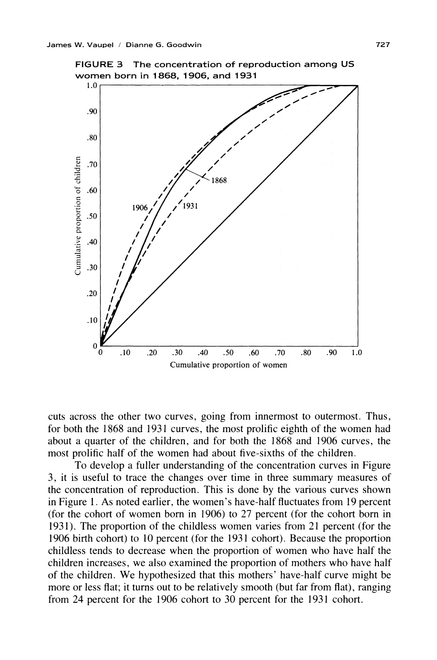

**FIGURE 3 The concentration of reproduction among US women born in 1868, 1906, and 1931** 

**cuts across the other two curves, going from innermost to outermost. Thus, for both the 1868 and 1931 curves, the most prolific eighth of the women had about a quarter of the children, and for both the 1868 and 1906 curves, the most prolific half of the women had about five-sixths of the children.** 

**To develop a fuller understanding of the concentration curves in Figure 3, it is useful to trace the changes over time in three summary measures of the concentration of reproduction. This is done by the various curves shown in Figure 1. As noted earlier, the women's have-half fluctuates from 19 percent (for the cohort of women born in 1906) to 27 percent (for the cohort born in 1931). The proportion of the childless women varies from 21 percent (for the 1906 birth cohort) to 10 percent (for the 1931 cohort). Because the proportion childless tends to decrease when the proportion of women who have half the children increases, we also examined the proportion of mothers who have half of the children. We hypothesized that this mothers' have-half curve might be more or less flat; it turns out to be relatively smooth (but far from flat), ranging from 24 percent for the 1906 cohort to 30 percent for the 1931 cohort.**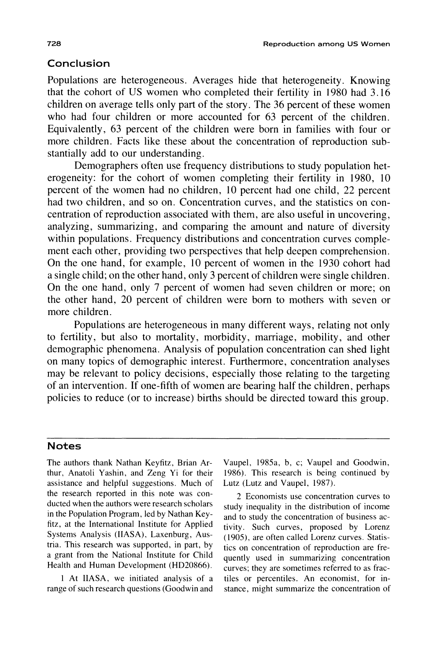# **Conclusion**

**Populations are heterogeneous. Averages hide that heterogeneity. Knowing that the cohort of US women who completed their fertility in 1980 had 3.16 children on average tells only part of the story. The 36 percent of these women who had four children or more accounted for 63 percent of the children. Equivalently, 63 percent of the children were born in families with four or more children. Facts like these about the concentration of reproduction substantially add to our understanding.** 

**Demographers often use frequency distributions to study population heterogeneity: for the cohort of women completing their fertility in 1980, 10 percent of the women had no children, 10 percent had one child, 22 percent**  had two children, and so on. Concentration curves, and the statistics on con**centration of reproduction associated with them, are also useful in uncovering, analyzing, summarizing, and comparing the amount and nature of diversity within populations. Frequency distributions and concentration curves complement each other, providing two perspectives that help deepen comprehension. On the one hand, for example, 10 percent of women in the 1930 cohort had a single child; on the other hand, only 3 percent of children were single children. On the one hand, only 7 percent of women had seven children or more; on the other hand, 20 percent of children were born to mothers with seven or more children.** 

**Populations are heterogeneous in many different ways, relating not only to fertility, but also to mortality, morbidity, marriage, mobility, and other demographic phenomena. Analysis of population concentration can shed light on many topics of demographic interest. Furthermore, concentration analyses may be relevant to policy decisions, especially those relating to the targeting of an intervention. If one-fifth of women are bearing half the children, perhaps policies to reduce (or to increase) births should be directed toward this group.** 

### **Notes**

**The authors thank Nathan Keyfitz, Brian Arthur, Anatoli Yashin, and Zeng Yi for their assistance and helpful suggestions. Much of the research reported in this note was conducted when the authors were research scholars in the Population Program, led by Nathan Keyfitz, at the International Institute for Applied Systems Analysis (IIASA), Laxenburg, Austria. This research was supported, in part, by a grant from the National Institute for Child Health and Human Development (HD20866).** 

**1 At IIASA, we initiated analysis of a range of such research questions (Goodwin and** 

**Vaupel, 1985a, b, c; Vaupel and Goodwin, 1986). This research is being continued by Lutz (Lutz and Vaupel, 1987).** 

**2 Economists use concentration curves to study inequality in the distribution of income and to study the concentration of business activity. Such curves, proposed by Lorenz (1905), are often called Lorenz curves. Statistics on concentration of reproduction are frequently used in summarizing concentration curves; they are sometimes referred to as fractiles or percentiles. An economist, for instance, might summarize the concentration of**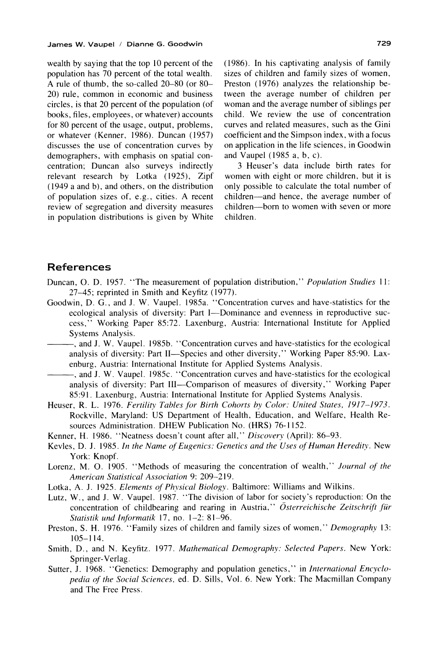**wealth by saying that the top 10 percent of the population has 70 percent of the total wealth. A rule of thumb, the so-called 20-80 (or 80- 20) rule, common in economic and business circles, is that 20 percent of the population (of books, files, employees, or whatever) accounts for 80 percent of the usage, output, problems, or whatever (Kenner, 1986). Duncan (1957) discusses the use of concentration curves by demographers, with emphasis on spatial concentration; Duncan also surveys indirectly relevant research by Lotka (1925), Zipf (1949 a and b), and others, on the distribution of population sizes of, e.g., cities. A recent review of segregation and diversity measures in population distributions is given by White**  **(1986). In his captivating analysis of family sizes of children and family sizes of women, Preston (1976) analyzes the relationship between the average number of children per woman and the average number of siblings per child. We review the use of concentration curves and related measures, such as the Gini coefficient and the Simpson index, with a focus on application in the life sciences, in Goodwin and Vaupel (1985 a, b, c).** 

**3 Heuser's data include birth rates for women with eight or more children, but it is only possible to calculate the total number of children-and hence, the average number of children-born to women with seven or more children.** 

### **References**

- Duncan, O. D. 1957. "The measurement of population distribution," Population Studies 11: **27-45; reprinted in Smith and Keyfitz (1977).**
- **Goodwin, D. G., and J. W. Vaupel. 1985a. "Concentration curves and have-statistics for the**  ecological analysis of diversity: Part I--Dominance and evenness in reproductive suc**cess," Working Paper 85:72. Laxenburg, Austria: International Institute for Applied Systems Analysis.**
- **, and J. W. Vaupel. 1985b. "Concentration curves and have-statistics for the ecological**  analysis of diversity: Part II—Species and other diversity," Working Paper 85:90. Lax**enburg, Austria: International Institute for Applied Systems Analysis.**
- **, and J. W. Vaupel. 1985c. "Concentration curves and have-statistics for the ecological analysis of diversity: Part 111-Comparison of measures of diversity," Working Paper 85:91. Laxenburg, Austria: International Institute for Applied Systems Analysis.**
- **Heuser, R. L. 1976. Fertility Tables for Birth Cohorts by Color: United States, 1917-1973. Rockville, Maryland: US Department of Health, Education, and Welfare, Health Resources Administration. DHEW Publication No. (HRS) 76-1152.**
- **Kenner, H. 1986. "Neatness doesn't count after all," Discovery (April): 86-93.**
- **Kevles, D. J. 1985. In the Name of Eugenics: Genetics and the Uses of Human Hereditv. New York: Knopf.**
- **Lorenz, M. 0. 1905. "Methods of measuring the concentration of wealth," Journal of the American Statistical Association 9: 209-219.**
- **Lotka, A. J. 1925. Elements of Physical Biology. Baltimore: Williams and Wilkins.**
- **Lutz, W., and J. W. Vaupel. 1987. 'The division of labor for society's reproduction: On the**  concentration of childbearing and rearing in Austria," Österreichische Zeitschrift für **Statistik und Informatik 17, no. 1-2: 81-96.**
- **Preston, S. H. 1976. "Family sizes of children and family sizes of women," Demography 13: 105-114.**
- **Smith, D., and N. Keyfitz. 1977. Mathematical Demography: Selected Papers. New York: Springer-Verlag.**
- Sutter, J. 1968. "Genetics: Demography and population genetics," in International Encyclo**pedia of the Social Sciences, ed. D. Sills, Vol. 6. New York: The Macmillan Company and The Free Press.**